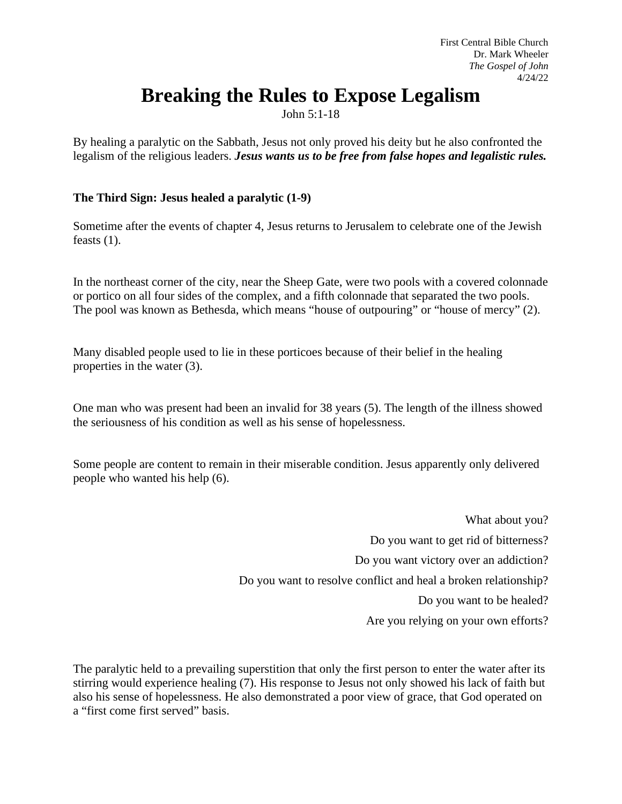## **Breaking the Rules to Expose Legalism**

John 5:1-18

By healing a paralytic on the Sabbath, Jesus not only proved his deity but he also confronted the legalism of the religious leaders. *Jesus wants us to be free from false hopes and legalistic rules.*

## **The Third Sign: Jesus healed a paralytic (1-9)**

Sometime after the events of chapter 4, Jesus returns to Jerusalem to celebrate one of the Jewish feasts (1).

In the northeast corner of the city, near the Sheep Gate, were two pools with a covered colonnade or portico on all four sides of the complex, and a fifth colonnade that separated the two pools. The pool was known as Bethesda, which means "house of outpouring" or "house of mercy" (2).

Many disabled people used to lie in these porticoes because of their belief in the healing properties in the water (3).

One man who was present had been an invalid for 38 years (5). The length of the illness showed the seriousness of his condition as well as his sense of hopelessness.

Some people are content to remain in their miserable condition. Jesus apparently only delivered people who wanted his help (6).

> What about you? Do you want to get rid of bitterness? Do you want victory over an addiction? Do you want to resolve conflict and heal a broken relationship? Do you want to be healed? Are you relying on your own efforts?

The paralytic held to a prevailing superstition that only the first person to enter the water after its stirring would experience healing (7). His response to Jesus not only showed his lack of faith but also his sense of hopelessness. He also demonstrated a poor view of grace, that God operated on a "first come first served" basis.